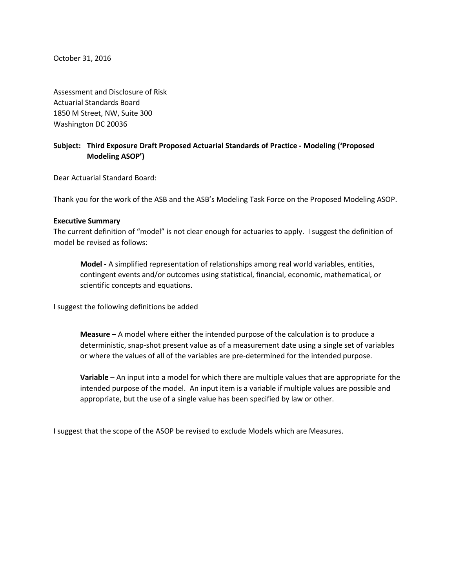October 31, 2016

Assessment and Disclosure of Risk Actuarial Standards Board 1850 M Street, NW, Suite 300 Washington DC 20036

# **Subject: Third Exposure Draft Proposed Actuarial Standards of Practice - Modeling ('Proposed Modeling ASOP')**

Dear Actuarial Standard Board:

Thank you for the work of the ASB and the ASB's Modeling Task Force on the Proposed Modeling ASOP.

#### **Executive Summary**

The current definition of "model" is not clear enough for actuaries to apply. I suggest the definition of model be revised as follows:

**Model -** A simplified representation of relationships among real world variables, entities, contingent events and/or outcomes using statistical, financial, economic, mathematical, or scientific concepts and equations.

I suggest the following definitions be added

**Measure –** A model where either the intended purpose of the calculation is to produce a deterministic, snap-shot present value as of a measurement date using a single set of variables or where the values of all of the variables are pre-determined for the intended purpose.

**Variable** – An input into a model for which there are multiple values that are appropriate for the intended purpose of the model. An input item is a variable if multiple values are possible and appropriate, but the use of a single value has been specified by law or other.

I suggest that the scope of the ASOP be revised to exclude Models which are Measures.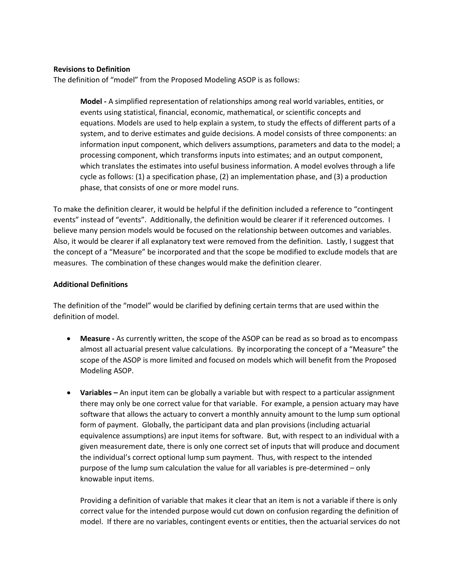## **Revisions to Definition**

The definition of "model" from the Proposed Modeling ASOP is as follows:

**Model -** A simplified representation of relationships among real world variables, entities, or events using statistical, financial, economic, mathematical, or scientific concepts and equations. Models are used to help explain a system, to study the effects of different parts of a system, and to derive estimates and guide decisions. A model consists of three components: an information input component, which delivers assumptions, parameters and data to the model; a processing component, which transforms inputs into estimates; and an output component, which translates the estimates into useful business information. A model evolves through a life cycle as follows: (1) a specification phase, (2) an implementation phase, and (3) a production phase, that consists of one or more model runs.

To make the definition clearer, it would be helpful if the definition included a reference to "contingent events" instead of "events". Additionally, the definition would be clearer if it referenced outcomes. I believe many pension models would be focused on the relationship between outcomes and variables. Also, it would be clearer if all explanatory text were removed from the definition. Lastly, I suggest that the concept of a "Measure" be incorporated and that the scope be modified to exclude models that are measures. The combination of these changes would make the definition clearer.

## **Additional Definitions**

The definition of the "model" would be clarified by defining certain terms that are used within the definition of model.

- **Measure -** As currently written, the scope of the ASOP can be read as so broad as to encompass almost all actuarial present value calculations. By incorporating the concept of a "Measure" the scope of the ASOP is more limited and focused on models which will benefit from the Proposed Modeling ASOP.
- **Variables –** An input item can be globally a variable but with respect to a particular assignment there may only be one correct value for that variable. For example, a pension actuary may have software that allows the actuary to convert a monthly annuity amount to the lump sum optional form of payment. Globally, the participant data and plan provisions (including actuarial equivalence assumptions) are input items for software. But, with respect to an individual with a given measurement date, there is only one correct set of inputs that will produce and document the individual's correct optional lump sum payment. Thus, with respect to the intended purpose of the lump sum calculation the value for all variables is pre-determined – only knowable input items.

Providing a definition of variable that makes it clear that an item is not a variable if there is only correct value for the intended purpose would cut down on confusion regarding the definition of model. If there are no variables, contingent events or entities, then the actuarial services do not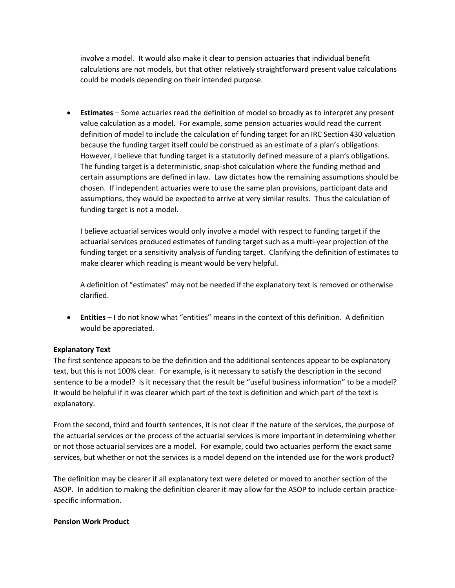involve a model. It would also make it clear to pension actuaries that individual benefit calculations are not models, but that other relatively straightforward present value calculations could be models depending on their intended purpose.

• **Estimates** – Some actuaries read the definition of model so broadly as to interpret any present value calculation as a model. For example, some pension actuaries would read the current definition of model to include the calculation of funding target for an IRC Section 430 valuation because the funding target itself could be construed as an estimate of a plan's obligations. However, I believe that funding target is a statutorily defined measure of a plan's obligations. The funding target is a deterministic, snap-shot calculation where the funding method and certain assumptions are defined in law. Law dictates how the remaining assumptions should be chosen. If independent actuaries were to use the same plan provisions, participant data and assumptions, they would be expected to arrive at very similar results. Thus the calculation of funding target is not a model.

I believe actuarial services would only involve a model with respect to funding target if the actuarial services produced estimates of funding target such as a multi-year projection of the funding target or a sensitivity analysis of funding target. Clarifying the definition of estimates to make clearer which reading is meant would be very helpful.

A definition of "estimates" may not be needed if the explanatory text is removed or otherwise clarified.

• **Entities** – I do not know what "entities" means in the context of this definition. A definition would be appreciated.

## **Explanatory Text**

The first sentence appears to be the definition and the additional sentences appear to be explanatory text, but this is not 100% clear. For example, is it necessary to satisfy the description in the second sentence to be a model? Is it necessary that the result be "useful business information" to be a model? It would be helpful if it was clearer which part of the text is definition and which part of the text is explanatory.

From the second, third and fourth sentences, it is not clear if the nature of the services, the purpose of the actuarial services or the process of the actuarial services is more important in determining whether or not those actuarial services are a model. For example, could two actuaries perform the exact same services, but whether or not the services is a model depend on the intended use for the work product?

The definition may be clearer if all explanatory text were deleted or moved to another section of the ASOP. In addition to making the definition clearer it may allow for the ASOP to include certain practicespecific information.

## **Pension Work Product**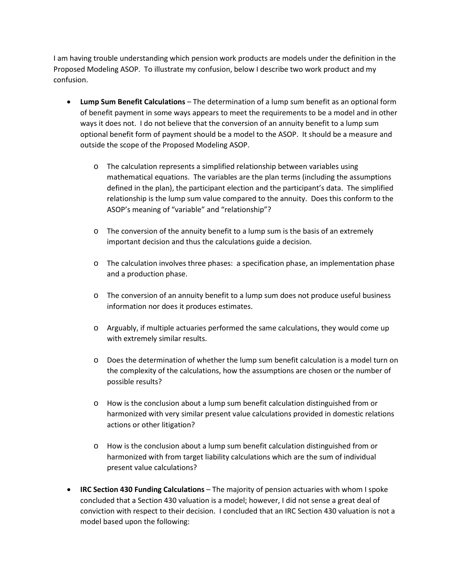I am having trouble understanding which pension work products are models under the definition in the Proposed Modeling ASOP. To illustrate my confusion, below I describe two work product and my confusion.

- **Lump Sum Benefit Calculations** The determination of a lump sum benefit as an optional form of benefit payment in some ways appears to meet the requirements to be a model and in other ways it does not. I do not believe that the conversion of an annuity benefit to a lump sum optional benefit form of payment should be a model to the ASOP. It should be a measure and outside the scope of the Proposed Modeling ASOP.
	- o The calculation represents a simplified relationship between variables using mathematical equations. The variables are the plan terms (including the assumptions defined in the plan), the participant election and the participant's data. The simplified relationship is the lump sum value compared to the annuity. Does this conform to the ASOP's meaning of "variable" and "relationship"?
	- o The conversion of the annuity benefit to a lump sum is the basis of an extremely important decision and thus the calculations guide a decision.
	- o The calculation involves three phases: a specification phase, an implementation phase and a production phase.
	- o The conversion of an annuity benefit to a lump sum does not produce useful business information nor does it produces estimates.
	- o Arguably, if multiple actuaries performed the same calculations, they would come up with extremely similar results.
	- o Does the determination of whether the lump sum benefit calculation is a model turn on the complexity of the calculations, how the assumptions are chosen or the number of possible results?
	- o How is the conclusion about a lump sum benefit calculation distinguished from or harmonized with very similar present value calculations provided in domestic relations actions or other litigation?
	- $\circ$  How is the conclusion about a lump sum benefit calculation distinguished from or harmonized with from target liability calculations which are the sum of individual present value calculations?
- **IRC Section 430 Funding Calculations** The majority of pension actuaries with whom I spoke concluded that a Section 430 valuation is a model; however, I did not sense a great deal of conviction with respect to their decision. I concluded that an IRC Section 430 valuation is not a model based upon the following: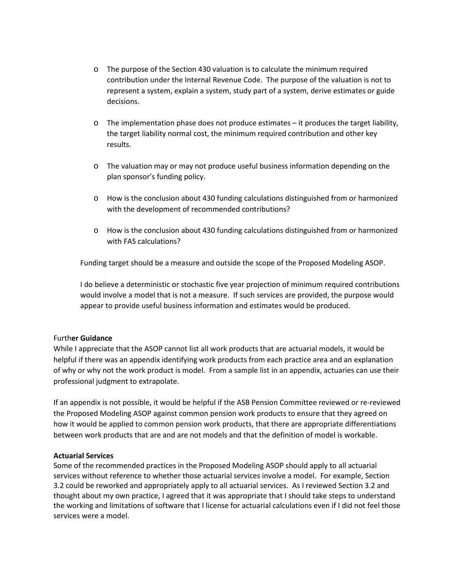- o The purpose of the Section 430 valuation is to calculate the minimum required contribution under the Internal Revenue Code. The purpose of the valuation is not to represent a system, explain a system, study part of a system, derive estimates or guide decisions.
- $\circ$  The implementation phase does not produce estimates it produces the target liability, the target liability normal cost, the minimum required contribution and other key results.
- o The valuation may or may not produce useful business information depending on the plan sponsor's funding policy.
- o How is the conclusion about 430 funding calculations distinguished from or harmonized with the development of recommended contributions?
- o How is the conclusion about 430 funding calculations distinguished from or harmonized with FAS calculations?

Funding target should be a measure and outside the scope of the Proposed Modeling ASOP.

I do believe a deterministic or stochastic five year projection of minimum required contributions would involve a model that is not a measure. If such services are provided, the purpose would appear to provide useful business information and estimates would be produced.

## Furth**er Guidance**

While I appreciate that the ASOP cannot list all work products that are actuarial models, it would be helpful if there was an appendix identifying work products from each practice area and an explanation of why or why not the work product is model. From a sample list in an appendix, actuaries can use their professional judgment to extrapolate.

If an appendix is not possible, it would be helpful if the ASB Pension Committee reviewed or re-reviewed the Proposed Modeling ASOP against common pension work products to ensure that they agreed on how it would be applied to common pension work products, that there are appropriate differentiations between work products that are and are not models and that the definition of model is workable.

#### **Actuarial Services**

Some of the recommended practices in the Proposed Modeling ASOP should apply to all actuarial services without reference to whether those actuarial services involve a model. For example, Section 3.2 could be reworked and appropriately apply to all actuarial services. As I reviewed Section 3.2 and thought about my own practice, I agreed that it was appropriate that I should take steps to understand the working and limitations of software that I license for actuarial calculations even if I did not feel those services were a model.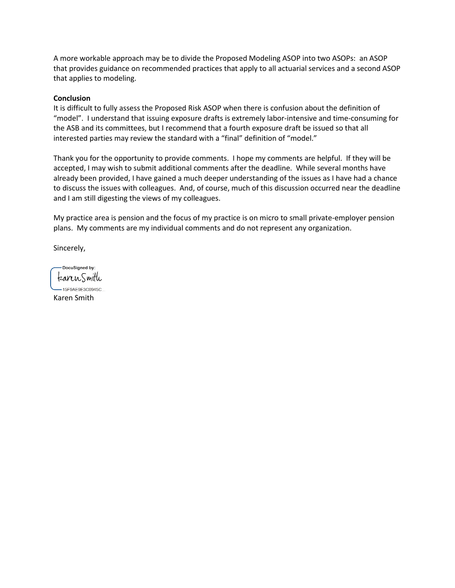A more workable approach may be to divide the Proposed Modeling ASOP into two ASOPs: an ASOP that provides guidance on recommended practices that apply to all actuarial services and a second ASOP that applies to modeling.

### **Conclusion**

It is difficult to fully assess the Proposed Risk ASOP when there is confusion about the definition of "model". I understand that issuing exposure drafts is extremely labor-intensive and time-consuming for the ASB and its committees, but I recommend that a fourth exposure draft be issued so that all interested parties may review the standard with a "final" definition of "model."

Thank you for the opportunity to provide comments. I hope my comments are helpful. If they will be accepted, I may wish to submit additional comments after the deadline. While several months have already been provided, I have gained a much deeper understanding of the issues as I have had a chance to discuss the issues with colleagues. And, of course, much of this discussion occurred near the deadline and I am still digesting the views of my colleagues.

My practice area is pension and the focus of my practice is on micro to small private-employer pension plans. My comments are my individual comments and do not represent any organization.

Sincerely,

-DocuSigned by: karen.Smith

-15F9AE9E3C0945C... Karen Smith